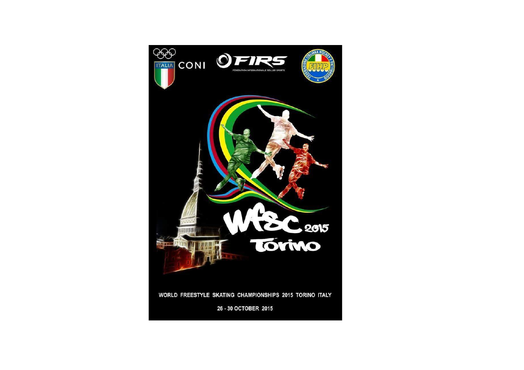